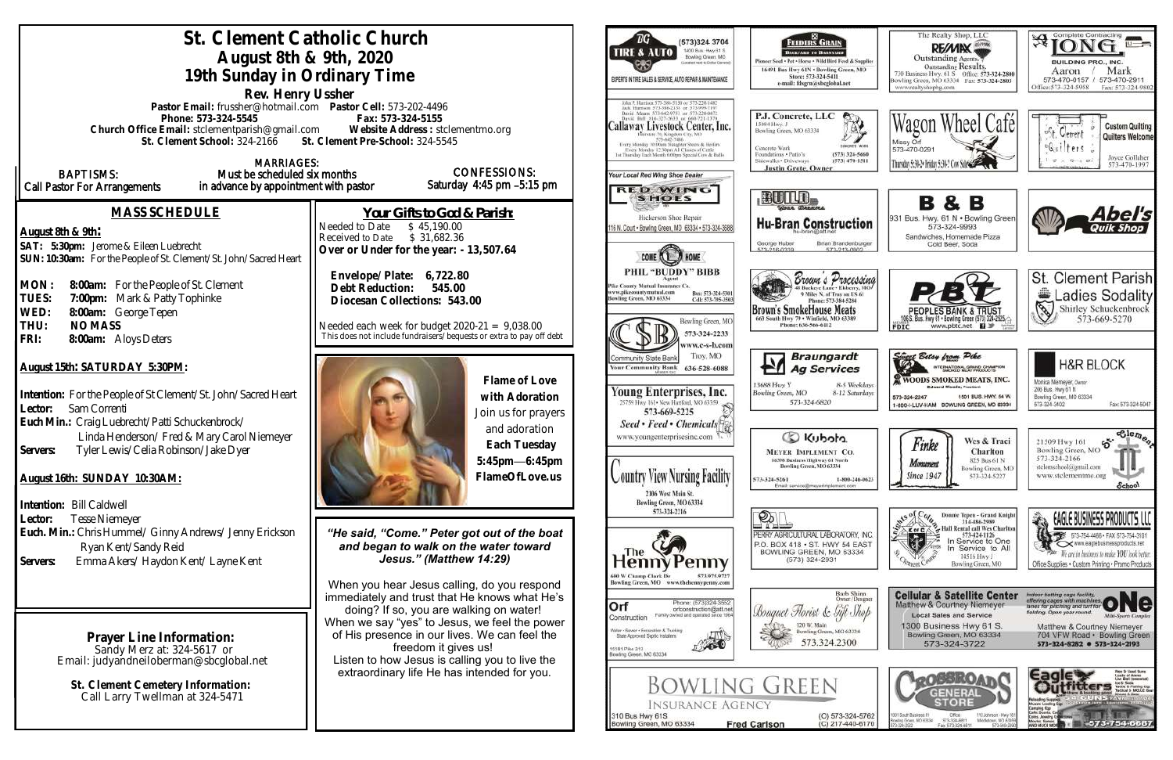